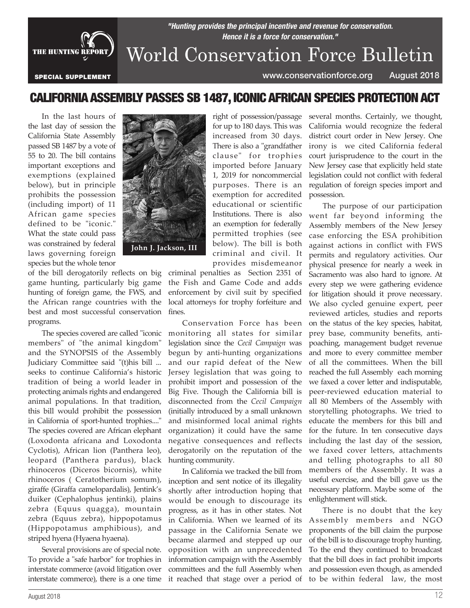

## *"Hunting provides the principal incentive and revenue for conservation. Hence it is a force for conservation."* World Conservation Force Bulletin

SPECIAL SUPPLEMENT www.conservationforce.org August 2018

## CALIFORNIA ASSEMBLY PASSES SB 1487, ICONIC AFRICAN SPECIES PROTECTION ACT

right of possession/passage for up to 180 days. This was increased from 30 days. There is also a "grandfather clause" for trophies imported before January 1, 2019 for noncommercial purposes. There is an exemption for accredited educational or scientific Institutions. There is also

In the last hours of the last day of session the California State Assembly passed SB 1487 by a vote of 55 to 20. The bill contains important exceptions and exemptions (explained below), but in principle prohibits the possession (including import) of 11 African game species defined to be "iconic." What the state could pass was constrained by federal laws governing foreign species but the whole tenor



of the bill derogatorily reflects on big game hunting, particularly big game hunting of foreign game, the FWS, and the African range countries with the best and most successful conservation programs.

The species covered are called "iconic members" of "the animal kingdom" and the SYNOPSIS of the Assembly Judiciary Committee said "(t)his bill ... seeks to continue California's historic tradition of being a world leader in protecting animals rights and endangered animal populations. In that tradition, this bill would prohibit the possession in California of sport-hunted trophies...." The species covered are African elephant (Loxodonta africana and Loxodonta Cyclotis), African lion (Panthera leo), leopard (Panthera pardus), black rhinoceros (Diceros bicornis), white rhinoceros ( Ceratotherium somum), giraffe (Giraffa camelopardalis), Jentink's duiker (Cephalophus jentinki), plains zebra (Equus quagga), mountain zebra (Equus zebra), hippopotamus (Hippopotamus amphibious), and striped hyena (Hyaena hyaena).

Several provisions are of special note. To provide a "safe harbor" for trophies in interstate commerce (avoid litigation over interstate commerce), there is a one time

an exemption for federally permitted trophies (see below). The bill is both criminal and civil. It provides misdemeanor criminal penalties as Section 2351 of the Fish and Game Code and adds enforcement by civil suit by specified local attorneys for trophy forfeiture and fines.

Conservation Force has been monitoring all states for similar legislation since the *Cecil Campaign* was begun by anti-hunting organizations and our rapid defeat of the New Jersey legislation that was going to prohibit import and possession of the Big Five. Though the California bill is disconnected from the *Cecil Campaign* (initially introduced by a small unknown and misinformed local animal rights organization) it could have the same negative consequences and reflects derogatorily on the reputation of the hunting community.

In California we tracked the bill from inception and sent notice of its illegality shortly after introduction hoping that would be enough to discourage its progress, as it has in other states. Not in California. When we learned of its passage in the California Senate we became alarmed and stepped up our opposition with an unprecedented information campaign with the Assembly committees and the full Assembly when it reached that stage over a period of

several months. Certainly, we thought, California would recognize the federal district court order in New Jersey. One irony is we cited California federal court jurisprudence to the court in the New Jersey case that explicitly held state legislation could not conflict with federal regulation of foreign species import and possession.

The purpose of our participation went far beyond informing the Assembly members of the New Jersey case enforcing the ESA prohibition against actions in conflict with FWS permits and regulatory activities. Our physical presence for nearly a week in Sacramento was also hard to ignore. At every step we were gathering evidence for litigation should it prove necessary. We also cycled genuine expert, peer reviewed articles, studies and reports on the status of the key species, habitat, prey base, community benefits, antipoaching, management budget revenue and more to every committee member of all the committees. When the bill reached the full Assembly each morning we faxed a cover letter and indisputable, peer-reviewed education material to all 80 Members of the Assembly with storytelling photographs. We tried to educate the members for this bill and for the future. In ten consecutive days including the last day of the session, we faxed cover letters, attachments and telling photographs to all 80 members of the Assembly. It was a useful exercise, and the bill gave us the necessary platform. Maybe some of the enlightenment will stick.

There is no doubt that the key Assembly members and NGO proponents of the bill claim the purpose of the bill is to discourage trophy hunting. To the end they continued to broadcast that the bill does in fact prohibit imports and possession even though, as amended to be within federal law, the most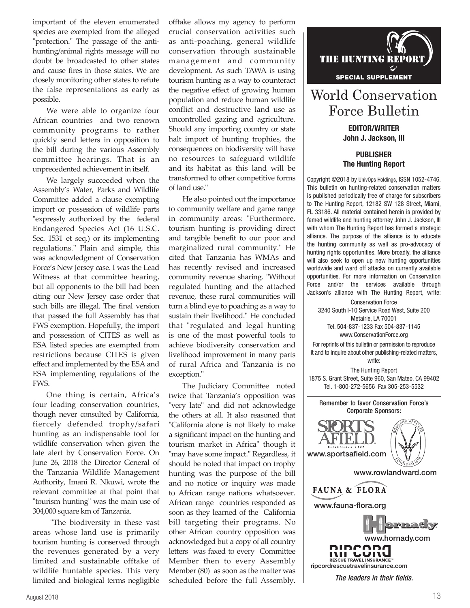important of the eleven enumerated species are exempted from the alleged "protection." The passage of the antihunting/animal rights message will no doubt be broadcasted to other states and cause fires in those states. We are closely monitoring other states to refute the false representations as early as possible.

We were able to organize four African countries and two renown community programs to rather quickly send letters in opposition to the bill during the various Assembly committee hearings. That is an unprecedented achievement in itself.

We largely succeeded when the Assembly's Water, Parks and Wildlife Committee added a clause exempting import or possession of wildlife parts "expressly authorized by the federal Endangered Species Act (16 U.S.C. Sec. 1531 et seq.) or its implementing regulations." Plain and simple, this was acknowledgment of Conservation Force's New Jersey case. I was the Lead Witness at that committee hearing, but all opponents to the bill had been citing our New Jersey case order that such bills are illegal. The final version that passed the full Assembly has that FWS exemption. Hopefully, the import and possession of CITES as well as ESA listed species are exempted from restrictions because CITES is given effect and implemented by the ESA and ESA implementing regulations of the FWS.

One thing is certain, Africa's four leading conservation countries, though never consulted by California, fiercely defended trophy/safari hunting as an indispensable tool for wildlife conservation when given the late alert by Conservation Force. On June 26, 2018 the Director General of the Tanzania Wildlife Management Authority, Imani R. Nkuwi, wrote the relevant committee at that point that "tourism hunting" was the main use of 304,000 square km of Tanzania.

 "The biodiversity in these vast areas whose land use is primarily tourism hunting is conserved through the revenues generated by a very limited and sustainable offtake of wildlife huntable species. This very limited and biological terms negligible

offtake allows my agency to perform crucial conservation activities such as anti-poaching, general wildlife conservation through sustainable management and community development. As such TAWA is using tourism hunting as a way to counteract the negative effect of growing human population and reduce human wildlife conflict and destructive land use as uncontrolled gazing and agriculture. Should any importing country or state halt import of hunting trophies, the consequences on biodiversity will have no resources to safeguard wildlife and its habitat as this land will be transformed to other competitive forms of land use."

He also pointed out the importance to community welfare and game range in community areas: "Furthermore, tourism hunting is providing direct and tangible benefit to our poor and marginalized rural community." He cited that Tanzania has WMAs and has recently revised and increased community revenue sharing. "Without regulated hunting and the attached revenue, these rural communities will turn a blind eye to poaching as a way to sustain their livelihood." He concluded that "regulated and legal hunting is one of the most powerful tools to achieve biodiversity conservation and livelihood improvement in many parts of rural Africa and Tanzania is no exception."

The Judiciary Committee noted twice that Tanzania's opposition was "very late" and did not acknowledge the others at all. It also reasoned that "California alone is not likely to make a significant impact on the hunting and tourism market in Africa" though it "may have some impact." Regardless, it should be noted that impact on trophy hunting was the purpose of the bill and no notice or inquiry was made to African range nations whatsoever. African range countries responded as soon as they learned of the California bill targeting their programs. No other African country opposition was acknowledged but a copy of all country letters was faxed to every Committee Member then to every Assembly Member (80) as soon as the matter was scheduled before the full Assembly.



## World Conservation Force Bulletin

EDITOR/WRITER John J. Jackson, III

PUBLISHER The Hunting Report

Copyright ©2018 by UnivOps Holdings, ISSN 1052-4746. This bulletin on hunting-related conservation matters is published periodically free of charge for subscribers to The Hunting Report, 12182 SW 128 Street, Miami, FL 33186. All material contained herein is provided by famed wildlife and hunting attorney John J. Jackson, III with whom The Hunting Report has formed a strategic alliance. The purpose of the alliance is to educate the hunting community as well as pro-advocacy of hunting rights opportunities. More broadly, the alliance will also seek to open up new hunting opportunities worldwide and ward off attacks on currently available opportunities. For more information on Conservation Force and/or the services available through Jackson's alliance with The Hunting Report, write:

Conservation Force 3240 South I-10 Service Road West, Suite 200 Metairie, LA 70001 Tel. 504-837-1233 Fax 504-837-1145 www.ConservationForce.org

For reprints of this bulletin or permission to reproduce it and to inquire about other publishing-related matters, write:

The Hunting Report 1875 S. Grant Street, Suite 960, San Mateo, CA 99402 Tel. 1-800-272-5656 Fax 305-253-5532

Remember to favor Conservation Force's Corporate Sponsors:



www.rowlandward.com



www.fauna-flora.org



*The leaders in their fields.*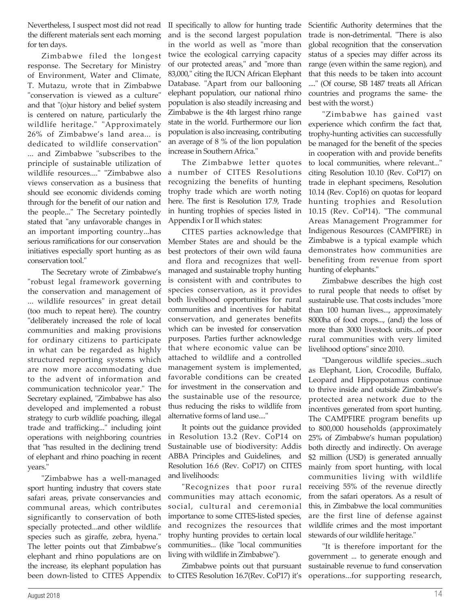Nevertheless, I suspect most did not read the different materials sent each morning for ten days.

Zimbabwe filed the longest response. The Secretary for Ministry of Environment, Water and Climate, T. Mutazu, wrote that in Zimbabwe "conservation is viewed as a culture" and that "(o)ur history and belief system is centered on nature, particularly the wildlife heritage." "Approximately 26% of Zimbabwe's land area... is dedicated to wildlife conservation" ... and Zimbabwe "subscribes to the principle of sustainable utilization of wildlife resources...." "Zimbabwe also views conservation as a business that should see economic dividends coming through for the benefit of our nation and the people..." The Secretary pointedly stated that "any unfavorable changes in an important importing country...has serious ramifications for our conservation initiatives especially sport hunting as as conservation tool."

The Secretary wrote of Zimbabwe's "robust legal framework governing the conservation and management of ... wildlife resources" in great detail (too much to repeat here). The country "deliberately increased the role of local communities and making provisions for ordinary citizens to participate in what can be regarded as highly structured reporting systems which are now more accommodating due to the advent of information and communication technicolor year." The Secretary explained, "Zimbabwe has also developed and implemented a robust strategy to curb wildlife poaching, illegal trade and trafficking..." including joint operations with neighboring countries that "has resulted in the declining trend of elephant and rhino poaching in recent years."

"Zimbabwe has a well-managed sport hunting industry that covers state safari areas, private conservancies and communal areas, which contributes significantly to conservation of both specially protected...and other wildlife species such as giraffe, zebra, hyena." The letter points out that Zimbabwe's elephant and rhino populations are on the increase, its elephant population has been down-listed to CITES Appendix II specifically to allow for hunting trade and is the second largest population in the world as well as "more than twice the ecological carrying capacity of our protected areas," and "more than 83,000," citing the IUCN African Elephant Database. "Apart from our ballooning elephant population, our national rhino population is also steadily increasing and Zimbabwe is the 4th largest rhino range state in the world. Furthermore our lion population is also increasing, contributing an average of 8 % of the lion population increase in Southern Africa."

The Zimbabwe letter quotes a number of CITES Resolutions recognizing the benefits of hunting trophy trade which are worth noting here. The first is Resolution 17.9, Trade in hunting trophies of species listed in Appendix I or II which states:

CITES parties acknowledge that Member States are and should be the best protectors of their own wild fauna and flora and recognizes that wellmanaged and sustainable trophy hunting is consistent with and contributes to species conservation, as it provides both livelihood opportunities for rural communities and incentives for habitat conservation, and generates benefits which can be invested for conservation purposes. Parties further acknowledge that where economic value can be attached to wildlife and a controlled management system is implemented, favorable conditions can be created for investment in the conservation and the sustainable use of the resource, thus reducing the risks to wildlife from alternative forms of land use...."

It points out the guidance provided in Resolution 13.2 (Rev. CoP14 on Sustainable use of biodiversity: Addis ABBA Principles and Guidelines, and Resolution 16.6 (Rev. CoP17) on CITES and livelihoods:

"Recognizes that poor rural communities may attach economic, social, cultural and ceremonial importance to some CITES-listed species, and recognizes the resources that trophy hunting provides to certain local communities... (like "local communities living with wildlife in Zimbabwe").

Zimbabwe points out that pursuant to CITES Resolution 16.7(Rev. CoP17) it's Scientific Authority determines that the trade is non-detrimental. "There is also global recognition that the conservation status of a species may differ across its range (even within the same region), and that this needs to be taken into account ...." (Of course, SB 1487 treats all African countries and programs the same- the best with the worst.)

"Zimbabwe has gained vast experience which confirm the fact that, trophy-hunting activities can successfully be managed for the benefit of the species in cooperation with and provide benefits to local communities, where relevant..." citing Resolution 10.10 (Rev. CoP17) on trade in elephant specimens, Resolution 10.14 (Rev. Cop16) on quotas for leopard hunting trophies and Resolution 10.15 (Rev. CoP14). "The communal Areas Management Programmer for Indigenous Resources (CAMPFIRE) in Zimbabwe is a typical example which demonstrates how communities are benefiting from revenue from sport hunting of elephants."

Zimbabwe describes the high cost to rural people that needs to offset by sustainable use. That costs includes "more than 100 human lives..., approximately 8000ha of food crops..., (and) the loss of more than 3000 livestock units...of poor rural communities with very limited livelihood options" since 2010.

"Dangerous wildlife species...such as Elephant, Lion, Crocodile, Buffalo, Leopard and Hippopotamus continue to thrive inside and outside Zimbabwe's protected area network due to the incentives generated from sport hunting. The CAMPFIRE program benefits up to 800,000 households (approximately 25% of Zimbabwe's human population) both directly and indirectly. On average \$2 million (USD) is generated annually mainly from sport hunting, with local communities living with wildlife receiving 55% of the revenue directly from the safari operators. As a result of this, in Zimbabwe the local communities are the first line of defense against wildlife crimes and the most important stewards of our wildlife heritage."

"It is therefore important for the government ... to generate enough and sustainable revenue to fund conservation operations...for supporting research,